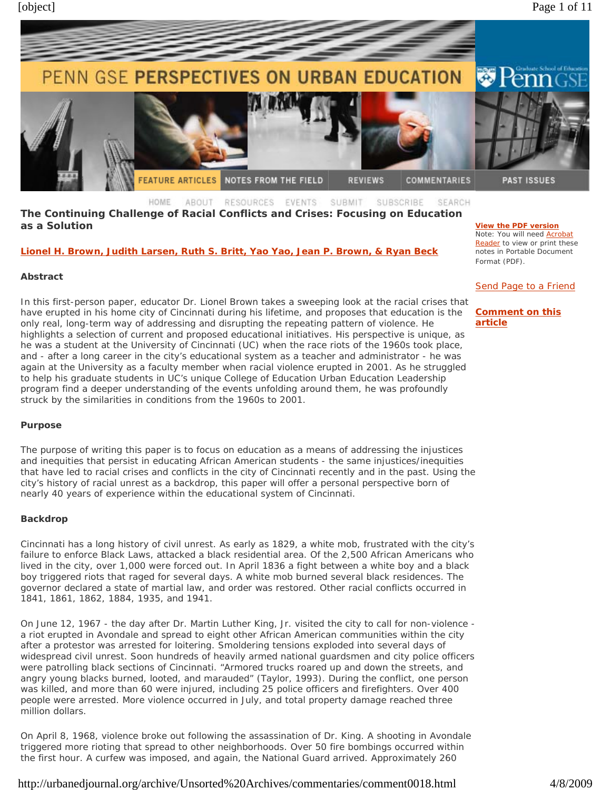

**The Continuing Challenge of Racial Conflicts and Crises: Focusing on Education as a Solution**

**Lionel H. Brown, Judith Larsen, Ruth S. Britt, Yao Yao, Jean P. Brown, & Ryan Beck**

#### **Abstract**

In this first-person paper, educator Dr. Lionel Brown takes a sweeping look at the racial crises that have erupted in his home city of Cincinnati during his lifetime, and proposes that education is the only real, long-term way of addressing and disrupting the repeating pattern of violence. He highlights a selection of current and proposed educational initiatives. His perspective is unique, as he was a student at the University of Cincinnati (UC) when the race riots of the 1960s took place, and - after a long career in the city's educational system as a teacher and administrator - he was again at the University as a faculty member when racial violence erupted in 2001. As he struggled to help his graduate students in UC's unique College of Education Urban Education Leadership program find a deeper understanding of the events unfolding around them, he was profoundly struck by the similarities in conditions from the 1960s to 2001.

#### **Purpose**

The purpose of writing this paper is to focus on education as a means of addressing the injustices and inequities that persist in educating African American students - the same injustices/inequities that have led to racial crises and conflicts in the city of Cincinnati recently and in the past. Using the city's history of racial unrest as a backdrop, this paper will offer a personal perspective born of nearly 40 years of experience within the educational system of Cincinnati.

## **Backdrop**

Cincinnati has a long history of civil unrest. As early as 1829, a white mob, frustrated with the city's failure to enforce Black Laws, attacked a black residential area. Of the 2,500 African Americans who lived in the city, over 1,000 were forced out. In April 1836 a fight between a white boy and a black boy triggered riots that raged for several days. A white mob burned several black residences. The governor declared a state of martial law, and order was restored. Other racial conflicts occurred in 1841, 1861, 1862, 1884, 1935, and 1941.

On June 12, 1967 - the day after Dr. Martin Luther King, Jr. visited the city to call for non-violence a riot erupted in Avondale and spread to eight other African American communities within the city after a protestor was arrested for loitering. Smoldering tensions exploded into several days of widespread civil unrest. Soon hundreds of heavily armed national guardsmen and city police officers were patrolling black sections of Cincinnati. "Armored trucks roared up and down the streets, and angry young blacks burned, looted, and marauded" (Taylor, 1993). During the conflict, one person was killed, and more than 60 were injured, including 25 police officers and firefighters. Over 400 people were arrested. More violence occurred in July, and total property damage reached three million dollars.

On April 8, 1968, violence broke out following the assassination of Dr. King. A shooting in Avondale triggered more rioting that spread to other neighborhoods. Over 50 fire bombings occurred within the first hour. A curfew was imposed, and again, the National Guard arrived. Approximately 260

**View the PDF version** Note: You will need Acrobat Reader to view or print these notes in Portable Document Format (PDF).

Send Page to a Friend

## **Comment on this article**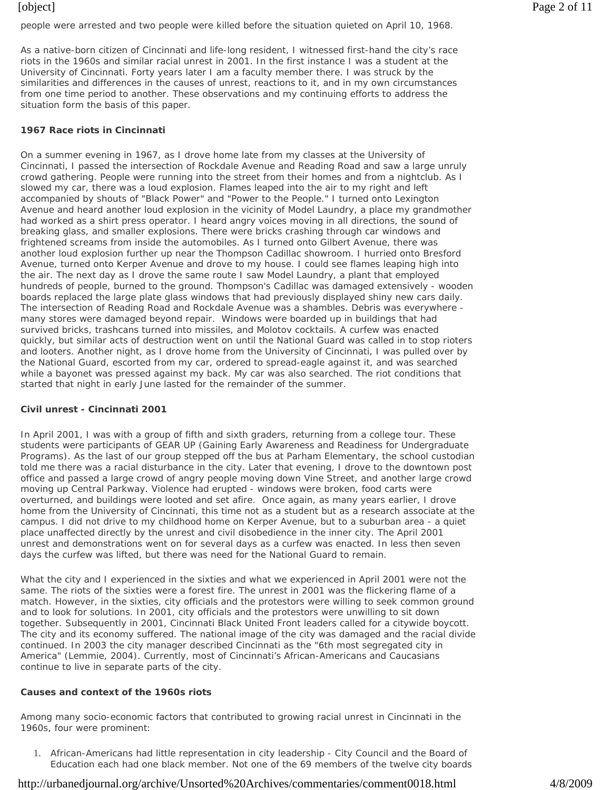people were arrested and two people were killed before the situation quieted on April 10, 1968.

As a native-born citizen of Cincinnati and life-long resident, I witnessed first-hand the city's race riots in the 1960s and similar racial unrest in 2001. In the first instance I was a student at the University of Cincinnati. Forty years later I am a faculty member there. I was struck by the similarities and differences in the causes of unrest, reactions to it, and in my own circumstances from one time period to another. These observations and my continuing efforts to address the situation form the basis of this paper.

## **1967 Race riots in Cincinnati**

On a summer evening in 1967, as I drove home late from my classes at the University of Cincinnati, I passed the intersection of Rockdale Avenue and Reading Road and saw a large unruly crowd gathering. People were running into the street from their homes and from a nightclub. As I slowed my car, there was a loud explosion. Flames leaped into the air to my right and left accompanied by shouts of "Black Power" and "Power to the People." I turned onto Lexington Avenue and heard another loud explosion in the vicinity of Model Laundry, a place my grandmother had worked as a shirt press operator. I heard angry voices moving in all directions, the sound of breaking glass, and smaller explosions. There were bricks crashing through car windows and frightened screams from inside the automobiles. As I turned onto Gilbert Avenue, there was another loud explosion further up near the Thompson Cadillac showroom. I hurried onto Bresford Avenue, turned onto Kerper Avenue and drove to my house. I could see flames leaping high into the air. The next day as I drove the same route I saw Model Laundry, a plant that employed hundreds of people, burned to the ground. Thompson's Cadillac was damaged extensively - wooden boards replaced the large plate glass windows that had previously displayed shiny new cars daily. The intersection of Reading Road and Rockdale Avenue was a shambles. Debris was everywhere many stores were damaged beyond repair. Windows were boarded up in buildings that had survived bricks, trashcans turned into missiles, and Molotov cocktails. A curfew was enacted quickly, but similar acts of destruction went on until the National Guard was called in to stop rioters and looters. Another night, as I drove home from the University of Cincinnati, I was pulled over by the National Guard, escorted from my car, ordered to spread-eagle against it, and was searched while a bayonet was pressed against my back. My car was also searched. The riot conditions that started that night in early June lasted for the remainder of the summer.

## **Civil unrest - Cincinnati 2001**

In April 2001, I was with a group of fifth and sixth graders, returning from a college tour. These students were participants of GEAR UP (Gaining Early Awareness and Readiness for Undergraduate Programs). As the last of our group stepped off the bus at Parham Elementary, the school custodian told me there was a racial disturbance in the city. Later that evening, I drove to the downtown post office and passed a large crowd of angry people moving down Vine Street, and another large crowd moving up Central Parkway. Violence had erupted - windows were broken, food carts were overturned, and buildings were looted and set afire. Once again, as many years earlier, I drove home from the University of Cincinnati, this time not as a student but as a research associate at the campus. I did not drive to my childhood home on Kerper Avenue, but to a suburban area - a quiet place unaffected directly by the unrest and civil disobedience in the inner city. The April 2001 unrest and demonstrations went on for several days as a curfew was enacted. In less then seven days the curfew was lifted, but there was need for the National Guard to remain.

What the city and I experienced in the sixties and what we experienced in April 2001 were not the same. The riots of the sixties were a forest fire. The unrest in 2001 was the flickering flame of a match. However, in the sixties, city officials and the protestors were willing to seek common ground and to look for solutions. In 2001, city officials and the protestors were unwilling to sit down together. Subsequently in 2001, Cincinnati Black United Front leaders called for a citywide boycott. The city and its economy suffered. The national image of the city was damaged and the racial divide continued. In 2003 the city manager described Cincinnati as the "6th most segregated city in America" (Lemmie, 2004). Currently, most of Cincinnati's African-Americans and Caucasians continue to live in separate parts of the city.

## **Causes and context of the 1960s riots**

Among many socio-economic factors that contributed to growing racial unrest in Cincinnati in the 1960s, four were prominent:

1. African-Americans had little representation in city leadership - City Council and the Board of Education each had one black member. Not one of the 69 members of the twelve city boards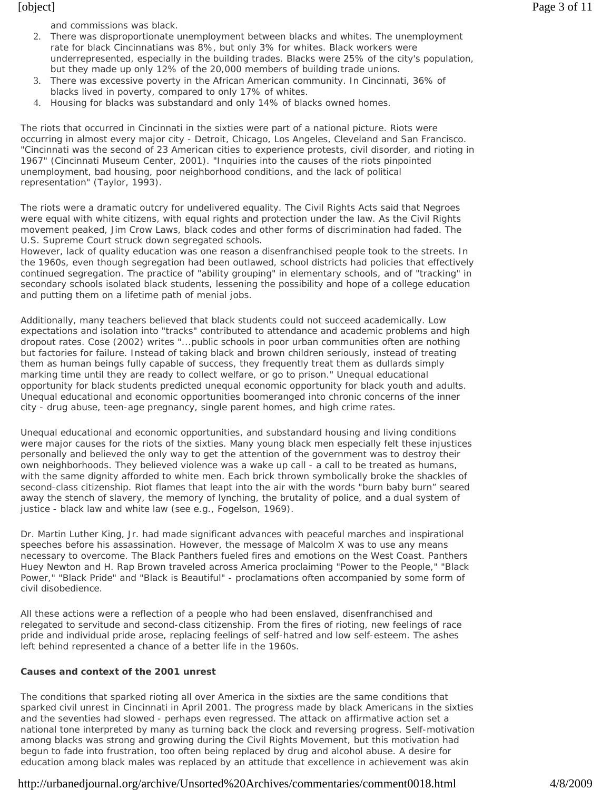and commissions was black.

- 2. There was disproportionate unemployment between blacks and whites. The unemployment rate for black Cincinnatians was 8%, but only 3% for whites. Black workers were underrepresented, especially in the building trades. Blacks were 25% of the city's population, but they made up only 12% of the 20,000 members of building trade unions.
- 3. There was excessive poverty in the African American community. In Cincinnati, 36% of blacks lived in poverty, compared to only 17% of whites.
- 4. Housing for blacks was substandard and only 14% of blacks owned homes.

The riots that occurred in Cincinnati in the sixties were part of a national picture. Riots were occurring in almost every major city - Detroit, Chicago, Los Angeles, Cleveland and San Francisco. "Cincinnati was the second of 23 American cities to experience protests, civil disorder, and rioting in 1967" (Cincinnati Museum Center, 2001). "Inquiries into the causes of the riots pinpointed unemployment, bad housing, poor neighborhood conditions, and the lack of political representation" (Taylor, 1993).

The riots were a dramatic outcry for undelivered equality. The Civil Rights Acts said that Negroes were equal with white citizens, with equal rights and protection under the law. As the Civil Rights movement peaked, Jim Crow Laws, black codes and other forms of discrimination had faded. The U.S. Supreme Court struck down segregated schools.

However, lack of quality education was one reason a disenfranchised people took to the streets. In the 1960s, even though segregation had been outlawed, school districts had policies that effectively continued segregation. The practice of "ability grouping" in elementary schools, and of "tracking" in secondary schools isolated black students, lessening the possibility and hope of a college education and putting them on a lifetime path of menial jobs.

Additionally, many teachers believed that black students could not succeed academically. Low expectations and isolation into "tracks" contributed to attendance and academic problems and high dropout rates. Cose (2002) writes "...public schools in poor urban communities often are nothing but factories for failure. Instead of taking black and brown children seriously, instead of treating them as human beings fully capable of success, they frequently treat them as dullards simply marking time until they are ready to collect welfare, or go to prison." Unequal educational opportunity for black students predicted unequal economic opportunity for black youth and adults. Unequal educational and economic opportunities boomeranged into chronic concerns of the inner city - drug abuse, teen-age pregnancy, single parent homes, and high crime rates.

Unequal educational and economic opportunities, and substandard housing and living conditions were major causes for the riots of the sixties. Many young black men especially felt these injustices personally and believed the only way to get the attention of the government was to destroy their own neighborhoods. They believed violence was a wake up call - a call to be treated as humans, with the same dignity afforded to white men. Each brick thrown symbolically broke the shackles of second-class citizenship. Riot flames that leapt into the air with the words "burn baby burn" seared away the stench of slavery, the memory of lynching, the brutality of police, and a dual system of justice - black law and white law (see e.g., Fogelson, 1969).

Dr. Martin Luther King, Jr. had made significant advances with peaceful marches and inspirational speeches before his assassination. However, the message of Malcolm X was to use any means necessary to overcome. The Black Panthers fueled fires and emotions on the West Coast. Panthers Huey Newton and H. Rap Brown traveled across America proclaiming "Power to the People," "Black Power," "Black Pride" and "Black is Beautiful" - proclamations often accompanied by some form of civil disobedience.

All these actions were a reflection of a people who had been enslaved, disenfranchised and relegated to servitude and second-class citizenship. From the fires of rioting, new feelings of race pride and individual pride arose, replacing feelings of self-hatred and low self-esteem. The ashes left behind represented a chance of a better life in the 1960s.

## **Causes and context of the 2001 unrest**

The conditions that sparked rioting all over America in the sixties are the same conditions that sparked civil unrest in Cincinnati in April 2001. The progress made by black Americans in the sixties and the seventies had slowed - perhaps even regressed. The attack on affirmative action set a national tone interpreted by many as turning back the clock and reversing progress. Self-motivation among blacks was strong and growing during the Civil Rights Movement, but this motivation had begun to fade into frustration, too often being replaced by drug and alcohol abuse. A desire for education among black males was replaced by an attitude that excellence in achievement was akin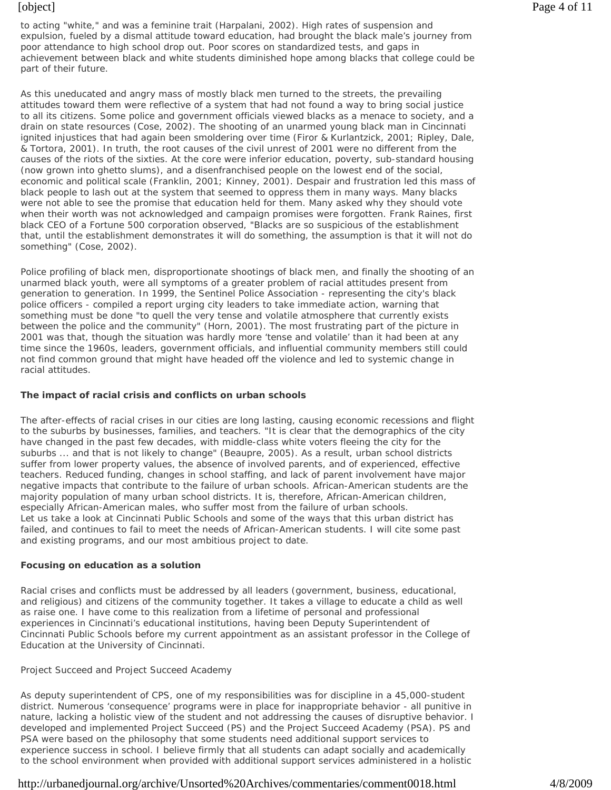to acting "white," and was a feminine trait (Harpalani, 2002). High rates of suspension and expulsion, fueled by a dismal attitude toward education, had brought the black male's journey from poor attendance to high school drop out. Poor scores on standardized tests, and gaps in achievement between black and white students diminished hope among blacks that college could be part of their future.

As this uneducated and angry mass of mostly black men turned to the streets, the prevailing attitudes toward them were reflective of a system that had not found a way to bring social justice to all its citizens. Some police and government officials viewed blacks as a menace to society, and a drain on state resources (Cose, 2002). The shooting of an unarmed young black man in Cincinnati ignited injustices that had again been smoldering over time (Firor & Kurlantzick, 2001; Ripley, Dale, & Tortora, 2001). In truth, the root causes of the civil unrest of 2001 were no different from the causes of the riots of the sixties. At the core were inferior education, poverty, sub-standard housing (now grown into ghetto slums), and a disenfranchised people on the lowest end of the social, economic and political scale (Franklin, 2001; Kinney, 2001). Despair and frustration led this mass of black people to lash out at the system that seemed to oppress them in many ways. Many blacks were not able to see the promise that education held for them. Many asked why they should vote when their worth was not acknowledged and campaign promises were forgotten. Frank Raines, first black CEO of a Fortune 500 corporation observed, "Blacks are so suspicious of the establishment that, until the establishment demonstrates it will do something, the assumption is that it will not do something" (Cose, 2002).

Police profiling of black men, disproportionate shootings of black men, and finally the shooting of an unarmed black youth, were all symptoms of a greater problem of racial attitudes present from generation to generation. In 1999, the Sentinel Police Association - representing the city's black police officers - compiled a report urging city leaders to take immediate action, warning that something must be done "to quell the very tense and volatile atmosphere that currently exists between the police and the community" (Horn, 2001). The most frustrating part of the picture in 2001 was that, though the situation was hardly more 'tense and volatile' than it had been at any time since the 1960s, leaders, government officials, and influential community members still could not find common ground that might have headed off the violence and led to systemic change in racial attitudes.

# **The impact of racial crisis and conflicts on urban schools**

The after-effects of racial crises in our cities are long lasting, causing economic recessions and flight to the suburbs by businesses, families, and teachers. "It is clear that the demographics of the city have changed in the past few decades, with middle-class white voters fleeing the city for the suburbs ... and that is not likely to change" (Beaupre, 2005). As a result, urban school districts suffer from lower property values, the absence of involved parents, and of experienced, effective teachers. Reduced funding, changes in school staffing, and lack of parent involvement have major negative impacts that contribute to the failure of urban schools. African-American students are the majority population of many urban school districts. It is, therefore, African-American children, especially African-American males, who suffer most from the failure of urban schools. Let us take a look at Cincinnati Public Schools and some of the ways that this urban district has failed, and continues to fail to meet the needs of African-American students. I will cite some past and existing programs, and our most ambitious project to date.

# **Focusing on education as a solution**

Racial crises and conflicts must be addressed by all leaders (government, business, educational, and religious) and citizens of the community together. It takes a village to *educate* a child as well as raise one. I have come to this realization from a lifetime of personal and professional experiences in Cincinnati's educational institutions, having been Deputy Superintendent of Cincinnati Public Schools before my current appointment as an assistant professor in the College of Education at the University of Cincinnati.

# *Project Succeed and Project Succeed Academy*

As deputy superintendent of CPS, one of my responsibilities was for discipline in a 45,000-student district. Numerous 'consequence' programs were in place for inappropriate behavior - all punitive in nature, lacking a holistic view of the student and not addressing the causes of disruptive behavior. I developed and implemented Project Succeed (PS) and the Project Succeed Academy (PSA). PS and PSA were based on the philosophy that some students need additional support services to experience success in school. I believe firmly that all students can adapt socially and academically to the school environment when provided with additional support services administered in a holistic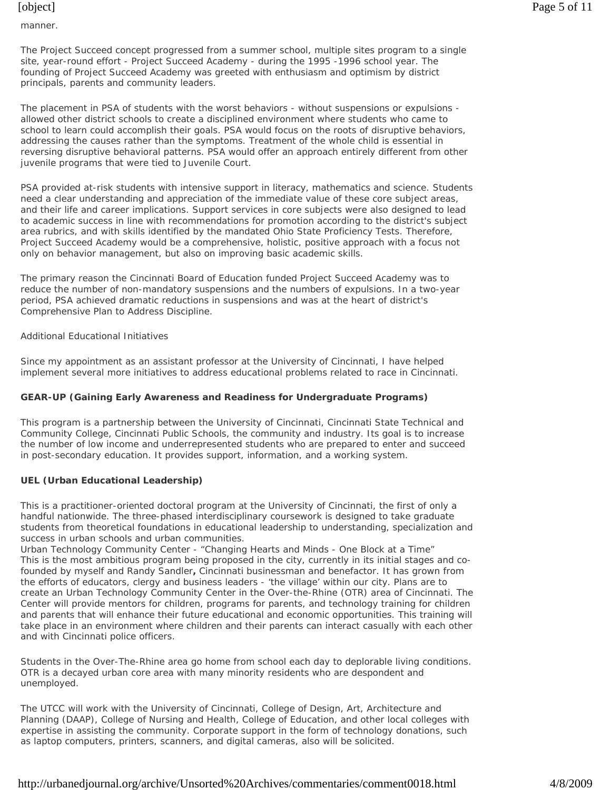manner.

The Project Succeed concept progressed from a summer school, multiple sites program to a single site, year-round effort - Project Succeed Academy - during the 1995 -1996 school year. The founding of Project Succeed Academy was greeted with enthusiasm and optimism by district principals, parents and community leaders.

The placement in PSA of students with the worst behaviors - without suspensions or expulsions allowed other district schools to create a disciplined environment where students who came to school to learn could accomplish their goals. PSA would focus on the roots of disruptive behaviors, addressing the causes rather than the symptoms. Treatment of the whole child is essential in reversing disruptive behavioral patterns. PSA would offer an approach entirely different from other juvenile programs that were tied to Juvenile Court.

PSA provided at-risk students with intensive support in literacy, mathematics and science. Students need a clear understanding and appreciation of the immediate value of these core subject areas, and their life and career implications. Support services in core subjects were also designed to lead to academic success in line with recommendations for promotion according to the district's subject area rubrics, and with skills identified by the mandated Ohio State Proficiency Tests. Therefore, Project Succeed Academy would be a comprehensive, holistic, positive approach with a focus not only on behavior management, but also on improving basic academic skills.

The primary reason the Cincinnati Board of Education funded Project Succeed Academy was to reduce the number of non-mandatory suspensions and the numbers of expulsions. In a two-year period, PSA achieved dramatic reductions in suspensions and was at the heart of district's Comprehensive Plan to Address Discipline.

## *Additional Educational Initiatives*

Since my appointment as an assistant professor at the University of Cincinnati, I have helped implement several more initiatives to address educational problems related to race in Cincinnati.

# **GEAR-UP (Gaining Early Awareness and Readiness for Undergraduate Programs)**

This program is a partnership between the University of Cincinnati, Cincinnati State Technical and Community College, Cincinnati Public Schools, the community and industry. Its goal is to increase the number of low income and underrepresented students who are prepared to enter and succeed in post-secondary education. It provides support, information, and a working system.

## **UEL (Urban Educational Leadership)**

This is a practitioner-oriented doctoral program at the University of Cincinnati, the first of only a handful nationwide. The three-phased interdisciplinary coursework is designed to take graduate students from theoretical foundations in educational leadership to understanding, specialization and success in urban schools and urban communities.

Urban Technology Community Center - "Changing Hearts and Minds - One Block at a Time" This is the most ambitious program being proposed in the city, currently in its initial stages and cofounded by myself and Randy Sandler**,** Cincinnati businessman and benefactor. It has grown from the efforts of educators, clergy and business leaders - 'the village' within our city. Plans are to create an Urban Technology Community Center in the Over-the-Rhine (OTR) area of Cincinnati. The Center will provide mentors for children, programs for parents, and technology training for children and parents that will enhance their future educational and economic opportunities. This training will take place in an environment where children and their parents can interact casually with each other and with Cincinnati police officers.

Students in the Over-The-Rhine area go home from school each day to deplorable living conditions. OTR is a decayed urban core area with many minority residents who are despondent and unemployed.

The UTCC will work with the University of Cincinnati, College of Design, Art, Architecture and Planning (DAAP), College of Nursing and Health, College of Education, and other local colleges with expertise in assisting the community. Corporate support in the form of technology donations, such as laptop computers, printers, scanners, and digital cameras, also will be solicited.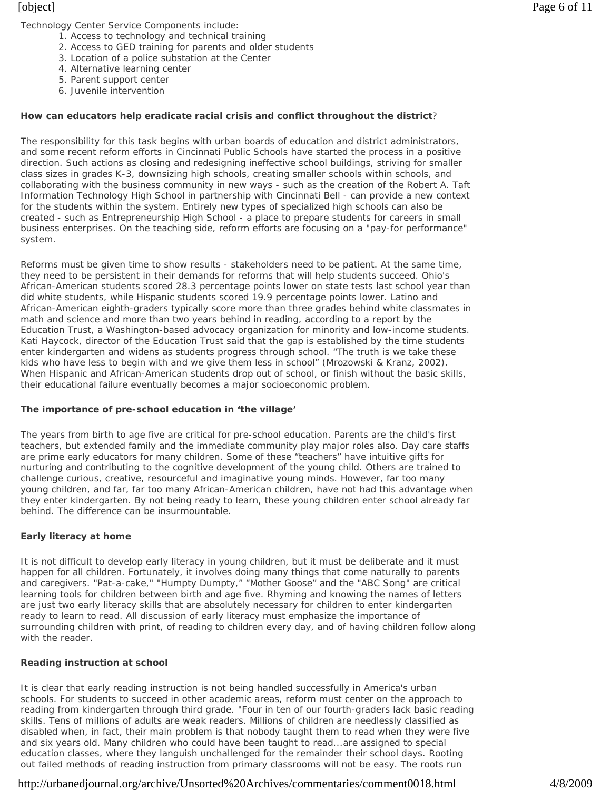- 1. Access to technology and technical training
- 2. Access to GED training for parents and older students
- 3. Location of a police substation at the Center
- 4. Alternative learning center
- 5. Parent support center
- 6. Juvenile intervention

#### **How can educators help eradicate racial crisis and conflict throughout the district**?

The responsibility for this task begins with urban boards of education and district administrators, and some recent reform efforts in Cincinnati Public Schools have started the process in a positive direction. Such actions as closing and redesigning ineffective school buildings, striving for smaller class sizes in grades K-3, downsizing high schools, creating smaller schools within schools, and collaborating with the business community in new ways - such as the creation of the Robert A. Taft Information Technology High School in partnership with Cincinnati Bell - can provide a new context for the students within the system. Entirely new types of specialized high schools can also be created - such as Entrepreneurship High School - a place to prepare students for careers in small business enterprises. On the teaching side, reform efforts are focusing on a "pay-for performance" system.

Reforms must be given time to show results - stakeholders need to be patient. At the same time, they need to be persistent in their demands for reforms that will help students succeed. Ohio's African-American students scored 28.3 percentage points lower on state tests last school year than did white students, while Hispanic students scored 19.9 percentage points lower. Latino and African-American eighth-graders typically score more than three grades behind white classmates in math and science and more than two years behind in reading, according to a report by the Education Trust, a Washington-based advocacy organization for minority and low-income students. Kati Haycock, director of the Education Trust said that the gap is established by the time students enter kindergarten and widens as students progress through school. "The truth is we take these kids who have less to begin with and we give them less in school" (Mrozowski & Kranz, 2002). When Hispanic and African-American students drop out of school, or finish without the basic skills, their educational failure eventually becomes a major socioeconomic problem.

#### **The importance of pre-school education in 'the village'**

The years from birth to age five are critical for pre-school education. Parents are the child's first teachers, but extended family and the immediate community play major roles also. Day care staffs are prime early educators for many children. Some of these "teachers" have intuitive gifts for nurturing and contributing to the cognitive development of the young child. Others are trained to challenge curious, creative, resourceful and imaginative young minds. However, far too many young children, and far, far too many African-American children, have not had this advantage when they enter kindergarten. By not being ready to learn, these young children enter school already far behind. The difference can be insurmountable.

## **Early literacy at home**

It is not difficult to develop early literacy in young children, but it must be deliberate and it must happen for all children. Fortunately, it involves doing many things that come naturally to parents and caregivers. "Pat-a-cake," "Humpty Dumpty," "Mother Goose" and the "ABC Song" are critical learning tools for children between birth and age five. Rhyming and knowing the names of letters are just two early literacy skills that are absolutely necessary for children to enter kindergarten ready to learn to read. All discussion of early literacy must emphasize the importance of surrounding children with print, of reading to children every day, and of having children follow along with the reader.

## **Reading instruction at school**

It is clear that early reading instruction is not being handled successfully in America's urban schools. For students to succeed in other academic areas, reform must center on the approach to reading from kindergarten through third grade. "Four in ten of our fourth-graders lack basic reading skills. Tens of millions of adults are weak readers. Millions of children are needlessly classified as disabled when, in fact, their main problem is that nobody taught them to read when they were five and six years old. Many children who could have been taught to read...are assigned to special education classes, where they languish unchallenged for the remainder their school days. Rooting out failed methods of reading instruction from primary classrooms will not be easy. The roots run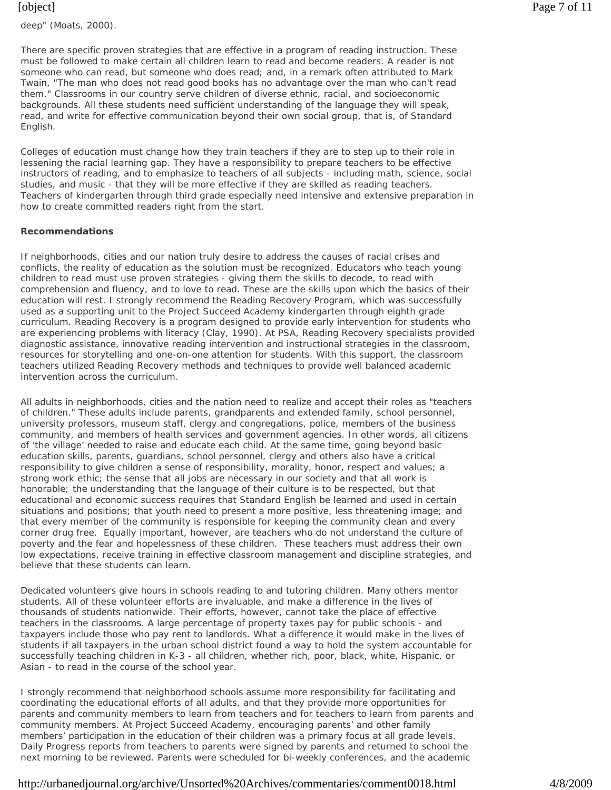There are specific proven strategies that are effective in a program of reading instruction. These must be followed to make certain all children learn to read and become readers. A reader is not someone who *can* read, but someone who *does* read; and, in a remark often attributed to Mark Twain, "The man who does not read good books has no advantage over the man who can't read them." Classrooms in our country serve children of diverse ethnic, racial, and socioeconomic backgrounds. All these students need sufficient understanding of the language they will speak, read, and write for effective communication beyond their own social group, that is, of Standard English.

Colleges of education must change how they train teachers if they are to step up to their role in lessening the racial learning gap. They have a responsibility to prepare teachers to be effective instructors of reading, and to emphasize to teachers of all subjects - including math, science, social studies, and music - that they will be more effective if they are skilled as reading teachers. Teachers of kindergarten through third grade especially need intensive and extensive preparation in how to create committed readers right from the start.

## **Recommendations**

If neighborhoods, cities and our nation truly desire to address the causes of racial crises and conflicts, the reality of education as the solution must be recognized. Educators who teach young children to read must use proven strategies - giving them the skills to decode, to read with comprehension and fluency, and to love to read. These are the skills upon which the basics of their education will rest. I strongly recommend the Reading Recovery Program, which was successfully used as a supporting unit to the Project Succeed Academy kindergarten through eighth grade curriculum. Reading Recovery is a program designed to provide early intervention for students who are experiencing problems with literacy (Clay, 1990). At PSA, Reading Recovery specialists provided diagnostic assistance, innovative reading intervention and instructional strategies in the classroom, resources for storytelling and one-on-one attention for students. With this support, the classroom teachers utilized Reading Recovery methods and techniques to provide well balanced academic intervention across the curriculum.

All adults in neighborhoods, cities and the nation need to realize and accept their roles as "teachers of children." These adults include parents, grandparents and extended family, school personnel, university professors, museum staff, clergy and congregations, police, members of the business community, and members of health services and government agencies. In other words, all citizens of 'the village' needed to raise *and* educate each child. At the same time, going beyond basic education skills, parents, guardians, school personnel, clergy and others also have a critical responsibility to give children a sense of responsibility, morality, honor, respect and values; a strong work ethic; the sense that all jobs are necessary in our society and that all work is honorable; the understanding that the language of their culture is to be respected, but that educational and economic success requires that Standard English be learned and used in certain situations and positions; that youth need to present a more positive, less threatening image; and that every member of the community is responsible for keeping the community clean and every corner drug free. Equally important, however, are teachers who do not understand the culture of poverty and the fear and hopelessness of these children. These teachers must address their own low expectations, receive training in effective classroom management and discipline strategies, and believe that these students can learn.

Dedicated volunteers give hours in schools reading to and tutoring children. Many others mentor students. All of these volunteer efforts are invaluable, and make a difference in the lives of thousands of students nationwide. Their efforts, however, cannot take the place of effective teachers in the classrooms. A large percentage of property taxes pay for public schools - and taxpayers include those who pay rent to landlords. What a difference it would make in the lives of students if all taxpayers in the urban school district found a way to hold the system accountable for successfully teaching children in K-3 - *all* children, whether rich, poor, black, white, Hispanic, or Asian - to read in the course of the school year.

I strongly recommend that neighborhood schools assume more responsibility for facilitating and coordinating the educational efforts of all adults, and that they provide more opportunities for parents and community members to learn from teachers and for teachers to learn from parents and community members. At Project Succeed Academy, encouraging parents' and other family members' participation in the education of their children was a primary focus at all grade levels. Daily Progress reports from teachers to parents were signed by parents and returned to school the next morning to be reviewed. Parents were scheduled for bi-weekly conferences, and the academic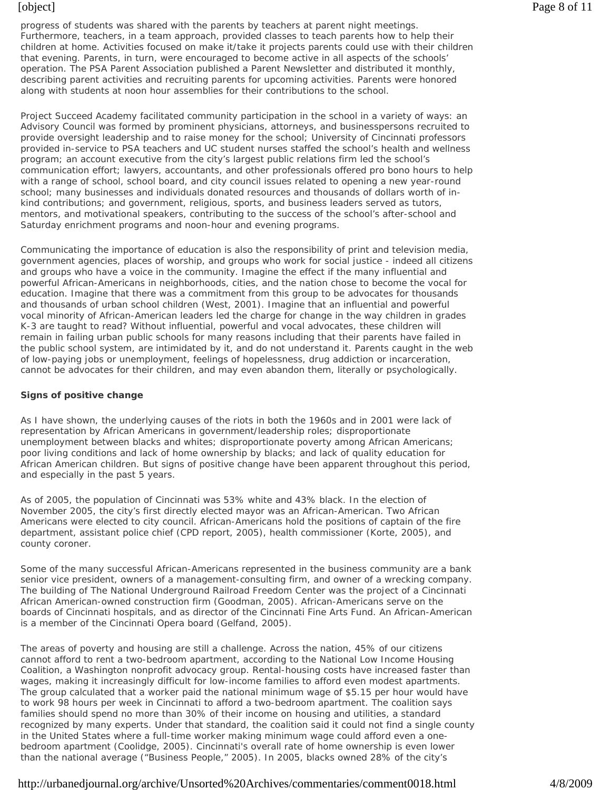progress of students was shared with the parents by teachers at parent night meetings. Furthermore, teachers, in a team approach, provided classes to teach parents how to help their children at home. Activities focused on make it/take it projects parents could use with their children that evening. Parents, in turn, were encouraged to become active in all aspects of the schools' operation. The PSA Parent Association published a Parent Newsletter and distributed it monthly, describing parent activities and recruiting parents for upcoming activities. Parents were honored along with students at noon hour assemblies for their contributions to the school.

Project Succeed Academy facilitated community participation in the school in a variety of ways: an Advisory Council was formed by prominent physicians, attorneys, and businesspersons recruited to provide oversight leadership and to raise money for the school; University of Cincinnati professors provided in-service to PSA teachers and UC student nurses staffed the school's health and wellness program; an account executive from the city's largest public relations firm led the school's communication effort; lawyers, accountants, and other professionals offered pro bono hours to help with a range of school, school board, and city council issues related to opening a new year-round school; many businesses and individuals donated resources and thousands of dollars worth of inkind contributions; and government, religious, sports, and business leaders served as tutors, mentors, and motivational speakers, contributing to the success of the school's after-school and Saturday enrichment programs and noon-hour and evening programs.

Communicating the importance of education is also the responsibility of print and television media, government agencies, places of worship, and groups who work for social justice - indeed all citizens and groups who have a voice in the community. Imagine the effect if the many influential and powerful African-Americans in neighborhoods, cities, and the nation chose to become the vocal for education. Imagine that there was a commitment from this group to be advocates for thousands and thousands of urban school children (West, 2001). Imagine that an influential and powerful vocal minority of African-American leaders led the charge for change in the way children in grades K-3 are taught to read? Without influential, powerful and vocal advocates, these children will remain in failing urban public schools for many reasons including that their parents have failed in the public school system, are intimidated by it, and do not understand it. Parents caught in the web of low-paying jobs or unemployment, feelings of hopelessness, drug addiction or incarceration, cannot be advocates for their children, and may even abandon them, literally or psychologically.

# **Signs of positive change**

As I have shown, the underlying causes of the riots in both the 1960s and in 2001 were lack of representation by African Americans in government/leadership roles; disproportionate unemployment between blacks and whites; disproportionate poverty among African Americans; poor living conditions and lack of home ownership by blacks; and lack of quality education for African American children. But signs of positive change have been apparent throughout this period, and especially in the past 5 years.

As of 2005, the population of Cincinnati was 53% white and 43% black. In the election of November 2005, the city's first directly elected mayor was an African-American. Two African Americans were elected to city council. African-Americans hold the positions of captain of the fire department, assistant police chief (CPD report, 2005), health commissioner (Korte, 2005), and county coroner.

Some of the many successful African-Americans represented in the business community are a bank senior vice president, owners of a management-consulting firm, and owner of a wrecking company. The building of The National Underground Railroad Freedom Center was the project of a Cincinnati African American-owned construction firm (Goodman, 2005). African-Americans serve on the boards of Cincinnati hospitals, and as director of the Cincinnati Fine Arts Fund. An African-American is a member of the Cincinnati Opera board (Gelfand, 2005).

The areas of poverty and housing are still a challenge. Across the nation, 45% of our citizens cannot afford to rent a two-bedroom apartment, according to the National Low Income Housing Coalition, a Washington nonprofit advocacy group. Rental-housing costs have increased faster than wages, making it increasingly difficult for low-income families to afford even modest apartments. The group calculated that a worker paid the national minimum wage of \$5.15 per hour would have to work 98 hours per week in Cincinnati to afford a two-bedroom apartment. The coalition says families should spend no more than 30% of their income on housing and utilities, a standard recognized by many experts. Under that standard, the coalition said it could not find a single county in the United States where a full-time worker making minimum wage could afford even a onebedroom apartment (Coolidge, 2005). Cincinnati's overall rate of home ownership is even lower than the national average ("Business People," 2005). In 2005, blacks owned 28% of the city's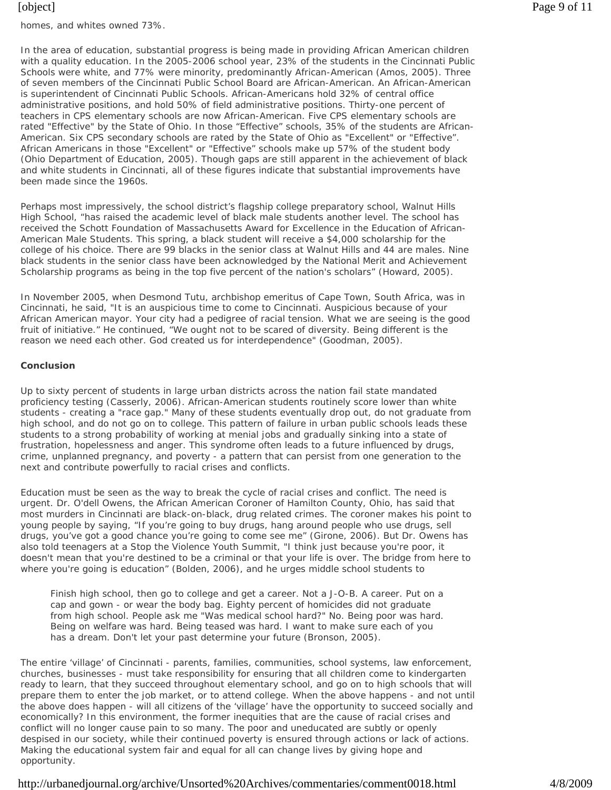homes, and whites owned 73%.

In the area of education, substantial progress is being made in providing African American children with a quality education. In the 2005-2006 school year, 23% of the students in the Cincinnati Public Schools were white, and 77% were minority, predominantly African-American (Amos, 2005). Three of seven members of the Cincinnati Public School Board are African-American. An African-American is superintendent of Cincinnati Public Schools. African-Americans hold 32% of central office administrative positions, and hold 50% of field administrative positions. Thirty-one percent of teachers in CPS elementary schools are now African-American. Five CPS elementary schools are rated "Effective" by the State of Ohio. In those "Effective" schools, 35% of the students are African-American. Six CPS secondary schools are rated by the State of Ohio as "Excellent" or "Effective". African Americans in those "Excellent" or "Effective" schools make up 57% of the student body (Ohio Department of Education, 2005). Though gaps are still apparent in the achievement of black and white students in Cincinnati, all of these figures indicate that substantial improvements have been made since the 1960s.

Perhaps most impressively, the school district's flagship college preparatory school, Walnut Hills High School, "has raised the academic level of black male students another level. The school has received the Schott Foundation of Massachusetts Award for Excellence in the Education of African-American Male Students. This spring, a black student will receive a \$4,000 scholarship for the college of his choice. There are 99 blacks in the senior class at Walnut Hills and 44 are males. Nine black students in the senior class have been acknowledged by the National Merit and Achievement Scholarship programs as being in the top five percent of the nation's scholars" (Howard, 2005).

In November 2005, when Desmond Tutu, archbishop emeritus of Cape Town, South Africa, was in Cincinnati, he said, "It is an auspicious time to come to Cincinnati. Auspicious because of your African American mayor. Your city had a pedigree of racial tension. What we are seeing is the good fruit of initiative." He continued, "We ought not to be scared of diversity. Being different is the reason we need each other. God created us for interdependence" (Goodman, 2005).

#### **Conclusion**

Up to sixty percent of students in large urban districts across the nation fail state mandated proficiency testing (Casserly, 2006). African-American students routinely score lower than white students - creating a "race gap." Many of these students eventually drop out, do not graduate from high school, and do not go on to college. This pattern of failure in urban public schools leads these students to a strong probability of working at menial jobs and gradually sinking into a state of frustration, hopelessness and anger. This syndrome often leads to a future influenced by drugs, crime, unplanned pregnancy, and poverty - a pattern that can persist from one generation to the next and contribute powerfully to racial crises and conflicts.

Education must be seen as the way to break the cycle of racial crises and conflict. The need is urgent. Dr. O'dell Owens, the African American Coroner of Hamilton County, Ohio, has said that most murders in Cincinnati are black-on-black, drug related crimes. The coroner makes his point to young people by saying, "If you're going to buy drugs, hang around people who use drugs, sell drugs, you've got a good chance you're going to come see me" (Girone, 2006). But Dr. Owens has also told teenagers at a Stop the Violence Youth Summit, "I think just because you're poor, it doesn't mean that you're destined to be a criminal or that your life is over. The bridge from here to where you're going is education" (Bolden, 2006), and he urges middle school students to

Finish high school, then go to college and get a career. Not a J-O-B. A career. Put on a cap and gown - or wear the body bag. Eighty percent of homicides did not graduate from high school. People ask me "Was medical school hard?" No. Being poor was hard. Being on welfare was hard. Being teased was hard. I want to make sure each of you has a dream. Don't let your past determine your future (Bronson, 2005).

The entire 'village' of Cincinnati - parents, families, communities, school systems, law enforcement, churches, businesses - must take responsibility for ensuring that all children come to kindergarten ready to learn, that they succeed throughout elementary school, and go on to high schools that will prepare them to enter the job market, or to attend college. When the above happens - and not until the above does happen - will all citizens of the 'village' have the opportunity to succeed socially and economically? In this environment, the former inequities that are the cause of racial crises and conflict will no longer cause pain to so many. The poor and uneducated are subtly or openly despised in our society, while their continued poverty is ensured through actions or lack of actions. Making the educational system fair and equal for all can change lives by giving hope and opportunity.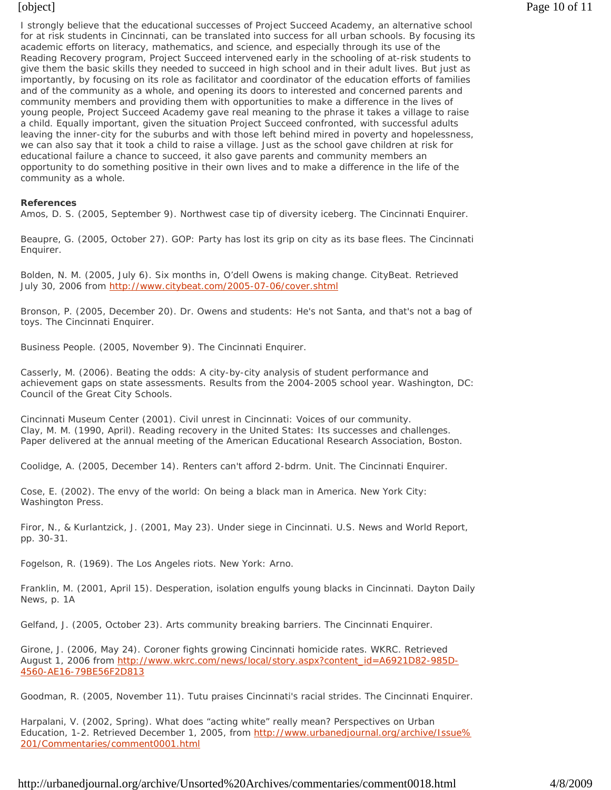I strongly believe that the educational successes of Project Succeed Academy, an alternative school for at risk students in Cincinnati, can be translated into success for all urban schools. By focusing its academic efforts on literacy, mathematics, and science, and especially through its use of the Reading Recovery program, Project Succeed intervened early in the schooling of at-risk students to give them the basic skills they needed to succeed in high school and in their adult lives. But just as importantly, by focusing on its role as facilitator and coordinator of the education efforts of families and of the community as a whole, and opening its doors to interested and concerned parents and community members and providing them with opportunities to make a difference in the lives of young people, Project Succeed Academy gave real meaning to the phrase it takes a village to raise a child. Equally important, given the situation Project Succeed confronted, with successful adults leaving the inner-city for the suburbs and with those left behind mired in poverty and hopelessness, we can also say that it took a child to raise a village. Just as the school gave children at risk for educational failure a chance to succeed, it also gave parents and community members an opportunity to do something positive in their own lives and to make a difference in the life of the community as a whole.

#### **References**

Amos, D. S. (2005, September 9). Northwest case tip of diversity iceberg. *The Cincinnati Enquirer*.

Beaupre, G. (2005, October 27). GOP: Party has lost its grip on city as its base flees. *The Cincinnati Enquirer.*

Bolden, N. M. (2005, July 6). Six months in, O'dell Owens is making change. *CityBeat*. Retrieved July 30, 2006 from http://www.citybeat.com/2005-07-06/cover.shtml

Bronson, P. (2005, December 20). Dr. Owens and students: He's not Santa, and that's not a bag of toys. *The Cincinnati Enquirer.*

Business People. (2005, November 9). *The Cincinnati Enquirer.*

Casserly, M. (2006). *Beating the odds: A city-by-city analysis of student performance and achievement gaps on state assessments. Results from the 2004-2005 school year*. Washington, DC: Council of the Great City Schools.

Cincinnati Museum Center (2001). *Civil unrest in Cincinnati: Voices of our community.* Clay, M. M. (1990, April). Reading recovery in the United States: Its successes and challenges. Paper delivered at the annual meeting of the American Educational Research Association, Boston.

Coolidge, A. (2005, December 14). Renters can't afford 2-bdrm. Unit. *The Cincinnati Enquirer.*

Cose, E. (2002). *The envy of the world: On being a black man in America.* New York City: Washington Press.

Firor, N., & Kurlantzick, J. (2001, May 23). Under siege in Cincinnati. *U.S. News and World Report*, pp. 30-31.

Fogelson, R. (1969). *The Los Angeles riots*. New York: Arno.

Franklin, M. (2001, April 15). Desperation, isolation engulfs young blacks in Cincinnati. *Dayton Daily News*, p. 1A

Gelfand, J. (2005, October 23). Arts community breaking barriers. *The Cincinnati Enquirer.*

Girone, J. (2006, May 24). Coroner fights growing Cincinnati homicide rates. *WKRC*. Retrieved August 1, 2006 from http://www.wkrc.com/news/local/story.aspx?content\_id=A6921D82-985D-4560-AE16-79BE56F2D813

Goodman, R. (2005, November 11). Tutu praises Cincinnati's racial strides. *The Cincinnati Enquirer.*

Harpalani, V. (2002, Spring). What does "acting white" really mean? *Perspectives on Urban Education,* 1-2. Retrieved December 1, 2005, from http://www.urbanedjournal.org/archive/Issue% 201/Commentaries/comment0001.html